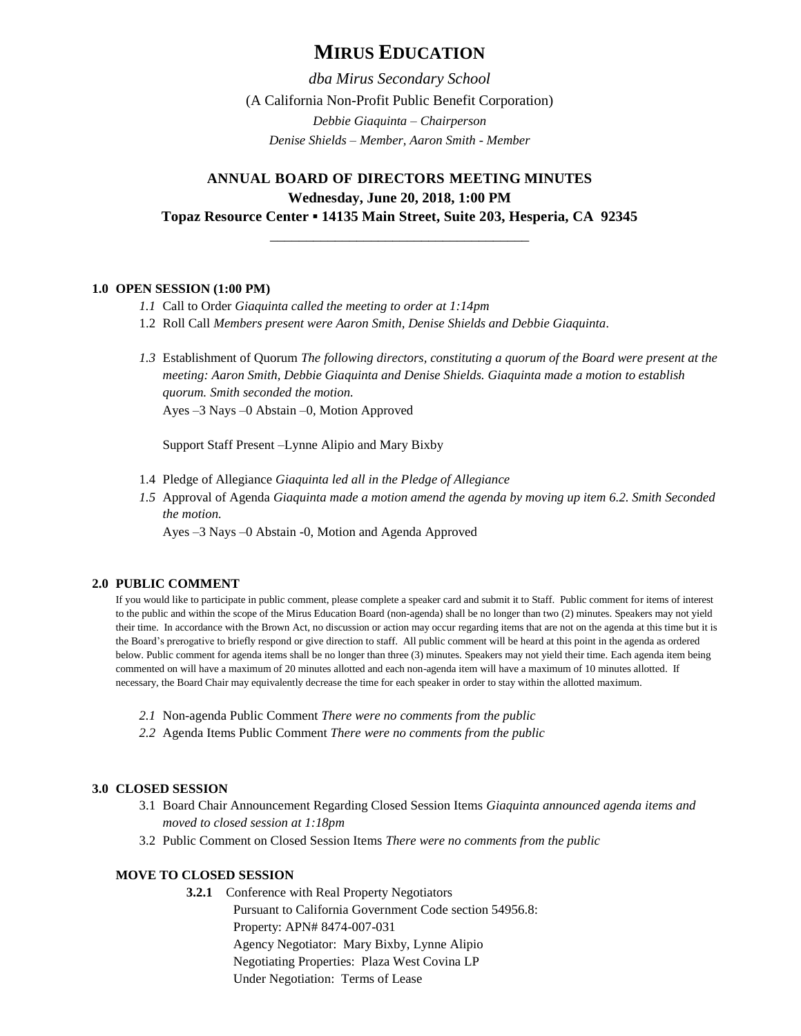# **MIRUS EDUCATION**

*dba Mirus Secondary School* (A California Non-Profit Public Benefit Corporation) *Debbie Giaquinta – Chairperson Denise Shields – Member, Aaron Smith - Member*

## **ANNUAL BOARD OF DIRECTORS MEETING MINUTES Wednesday, June 20, 2018, 1:00 PM Topaz Resource Center ▪ 14135 Main Street, Suite 203, Hesperia, CA 92345**

\_\_\_\_\_\_\_\_\_\_\_\_\_\_\_\_\_\_\_\_\_\_\_\_\_\_\_\_\_\_\_\_\_\_\_\_

## **1.0 OPEN SESSION (1:00 PM)**

- *1.1* Call to Order *Giaquinta called the meeting to order at 1:14pm*
- 1.2 Roll Call *Members present were Aaron Smith, Denise Shields and Debbie Giaquinta.*
- *1.3* Establishment of Quorum *The following directors, constituting a quorum of the Board were present at the meeting: Aaron Smith, Debbie Giaquinta and Denise Shields. Giaquinta made a motion to establish quorum. Smith seconded the motion.* Ayes –3 Nays –0 Abstain –0, Motion Approved

Support Staff Present –Lynne Alipio and Mary Bixby

- 1.4 Pledge of Allegiance *Giaquinta led all in the Pledge of Allegiance*
- *1.5* Approval of Agenda *Giaquinta made a motion amend the agenda by moving up item 6.2. Smith Seconded the motion.*

Ayes –3 Nays –0 Abstain -0, Motion and Agenda Approved

## **2.0 PUBLIC COMMENT**

If you would like to participate in public comment, please complete a speaker card and submit it to Staff. Public comment for items of interest to the public and within the scope of the Mirus Education Board (non-agenda) shall be no longer than two (2) minutes. Speakers may not yield their time. In accordance with the Brown Act, no discussion or action may occur regarding items that are not on the agenda at this time but it is the Board's prerogative to briefly respond or give direction to staff. All public comment will be heard at this point in the agenda as ordered below. Public comment for agenda items shall be no longer than three (3) minutes. Speakers may not yield their time. Each agenda item being commented on will have a maximum of 20 minutes allotted and each non-agenda item will have a maximum of 10 minutes allotted. If necessary, the Board Chair may equivalently decrease the time for each speaker in order to stay within the allotted maximum.

- *2.1* Non-agenda Public Comment *There were no comments from the public*
- *2.2* Agenda Items Public Comment *There were no comments from the public*

## **3.0 CLOSED SESSION**

- 3.1 Board Chair Announcement Regarding Closed Session Items *Giaquinta announced agenda items and moved to closed session at 1:18pm*
- 3.2 Public Comment on Closed Session Items *There were no comments from the public*

## **MOVE TO CLOSED SESSION**

**3.2.1** Conference with Real Property Negotiators Pursuant to California Government Code section 54956.8: Property: APN# 8474-007-031 Agency Negotiator: Mary Bixby, Lynne Alipio Negotiating Properties: Plaza West Covina LP Under Negotiation: Terms of Lease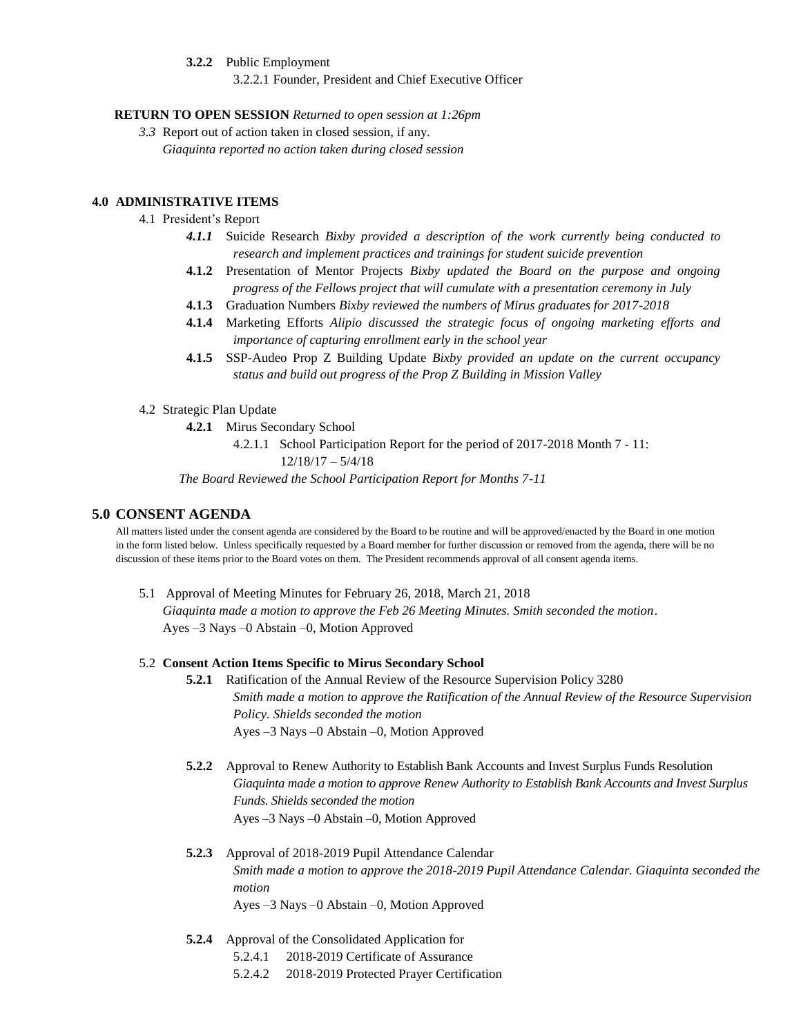**3.2.2** Public Employment

3.2.2.1 Founder, President and Chief Executive Officer

## **RETURN TO OPEN SESSION** *Returned to open session at 1:26pm*

*3.3* Report out of action taken in closed session, if any. *Giaquinta reported no action taken during closed session*

## **4.0 ADMINISTRATIVE ITEMS**

- 4.1 President's Report
	- *4.1.1* Suicide Research *Bixby provided a description of the work currently being conducted to research and implement practices and trainings for student suicide prevention*
	- **4.1.2** Presentation of Mentor Projects *Bixby updated the Board on the purpose and ongoing progress of the Fellows project that will cumulate with a presentation ceremony in July*
	- **4.1.3** Graduation Numbers *Bixby reviewed the numbers of Mirus graduates for 2017-2018*
	- **4.1.4** Marketing Efforts *Alipio discussed the strategic focus of ongoing marketing efforts and importance of capturing enrollment early in the school year*
	- **4.1.5** SSP-Audeo Prop Z Building Update *Bixby provided an update on the current occupancy status and build out progress of the Prop Z Building in Mission Valley*
- 4.2 Strategic Plan Update
	- **4.2.1** Mirus Secondary School
		- 4.2.1.1 School Participation Report for the period of 2017-2018 Month 7 11: 12/18/17 – 5/4/18

*The Board Reviewed the School Participation Report for Months 7-11*

## **5.0 CONSENT AGENDA**

All matters listed under the consent agenda are considered by the Board to be routine and will be approved/enacted by the Board in one motion in the form listed below. Unless specifically requested by a Board member for further discussion or removed from the agenda, there will be no discussion of these items prior to the Board votes on them. The President recommends approval of all consent agenda items.

5.1 Approval of Meeting Minutes for February 26, 2018, March 21, 2018

*Giaquinta made a motion to approve the Feb 26 Meeting Minutes. Smith seconded the motion*. Ayes –3 Nays –0 Abstain –0, Motion Approved

#### 5.2 **Consent Action Items Specific to Mirus Secondary School**

- **5.2.1** Ratification of the Annual Review of the Resource Supervision Policy 3280 *Smith made a motion to approve the Ratification of the Annual Review of the Resource Supervision Policy. Shields seconded the motion* Ayes –3 Nays –0 Abstain –0, Motion Approved
- **5.2.2** Approval to Renew Authority to Establish Bank Accounts and Invest Surplus Funds Resolution *Giaquinta made a motion to approve Renew Authority to Establish Bank Accounts and Invest Surplus Funds. Shields seconded the motion* Ayes –3 Nays –0 Abstain –0, Motion Approved
- **5.2.3** Approval of 2018-2019 Pupil Attendance Calendar *Smith made a motion to approve the 2018-2019 Pupil Attendance Calendar. Giaquinta seconded the motion* Ayes –3 Nays –0 Abstain –0, Motion Approved
	-
- **5.2.4** Approval of the Consolidated Application for
	- 5.2.4.1 2018-2019 Certificate of Assurance
	- 5.2.4.2 2018-2019 Protected Prayer Certification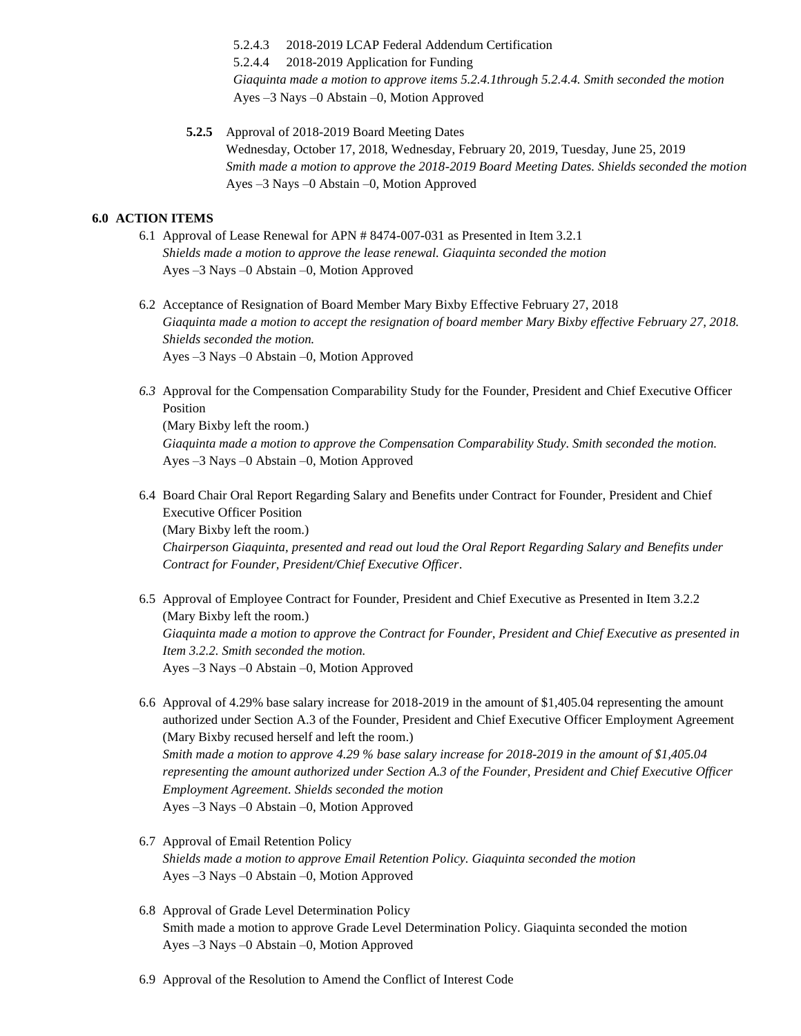5.2.4.3 2018-2019 LCAP Federal Addendum Certification 5.2.4.4 2018-2019 Application for Funding *Giaquinta made a motion to approve items 5.2.4.1through 5.2.4.4. Smith seconded the motion* Ayes –3 Nays –0 Abstain –0, Motion Approved

**5.2.5** Approval of 2018-2019 Board Meeting Dates Wednesday, October 17, 2018, Wednesday, February 20, 2019, Tuesday, June 25, 2019 *Smith made a motion to approve the 2018-2019 Board Meeting Dates. Shields seconded the motion* Ayes –3 Nays –0 Abstain –0, Motion Approved

## **6.0 ACTION ITEMS**

- 6.1 Approval of Lease Renewal for APN # 8474-007-031 as Presented in Item 3.2.1 *Shields made a motion to approve the lease renewal. Giaquinta seconded the motion* Ayes –3 Nays –0 Abstain –0, Motion Approved
- 6.2 Acceptance of Resignation of Board Member Mary Bixby Effective February 27, 2018 *Giaquinta made a motion to accept the resignation of board member Mary Bixby effective February 27, 2018. Shields seconded the motion.* Ayes –3 Nays –0 Abstain –0, Motion Approved
- *6.3* Approval for the Compensation Comparability Study for the Founder, President and Chief Executive Officer Position (Mary Bixby left the room.)

*Giaquinta made a motion to approve the Compensation Comparability Study. Smith seconded the motion.*  Ayes –3 Nays –0 Abstain –0, Motion Approved

- 6.4 Board Chair Oral Report Regarding Salary and Benefits under Contract for Founder, President and Chief Executive Officer Position (Mary Bixby left the room.) *Chairperson Giaquinta, presented and read out loud the Oral Report Regarding Salary and Benefits under Contract for Founder, President/Chief Executive Officer*.
- 6.5 Approval of Employee Contract for Founder, President and Chief Executive as Presented in Item 3.2.2 (Mary Bixby left the room.) *Giaquinta made a motion to approve the Contract for Founder, President and Chief Executive as presented in Item 3.2.2. Smith seconded the motion.* Ayes –3 Nays –0 Abstain –0, Motion Approved
- 6.6 Approval of 4.29% base salary increase for 2018-2019 in the amount of \$1,405.04 representing the amount authorized under Section A.3 of the Founder, President and Chief Executive Officer Employment Agreement (Mary Bixby recused herself and left the room.) *Smith made a motion to approve 4.29 % base salary increase for 2018-2019 in the amount of \$1,405.04 representing the amount authorized under Section A.3 of the Founder, President and Chief Executive Officer Employment Agreement. Shields seconded the motion* Ayes –3 Nays –0 Abstain –0, Motion Approved
- 6.7 Approval of Email Retention Policy *Shields made a motion to approve Email Retention Policy. Giaquinta seconded the motion* Ayes –3 Nays –0 Abstain –0, Motion Approved
- 6.8 Approval of Grade Level Determination Policy Smith made a motion to approve Grade Level Determination Policy. Giaquinta seconded the motion Ayes –3 Nays –0 Abstain –0, Motion Approved
- 6.9 Approval of the Resolution to Amend the Conflict of Interest Code